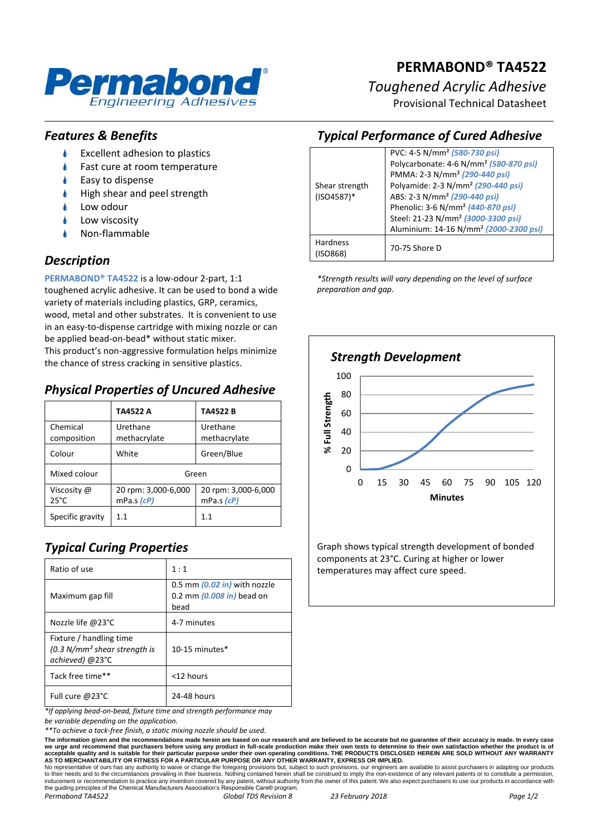

# **PERMABOND® TA4522**

*Toughened Acrylic Adhesive*

Provisional Technical Datasheet

#### *Features & Benefits*

- Excellent adhesion to plastics
- Fast cure at room temperature
- Easy to dispense
- High shear and peel strength
- Low odour
- Low viscosity
- Non-flammable

#### *Description*

**PERMABOND® TA4522** is a low-odour 2-part, 1:1 toughened acrylic adhesive. It can be used to bond a wide variety of materials including plastics, GRP, ceramics, wood, metal and other substrates. It is convenient to use in an easy-to-dispense cartridge with mixing nozzle or can be applied bead-on-bead\* without static mixer. This product's non-aggressive formulation helps minimize

the chance of stress cracking in sensitive plastics.

#### *Physical Properties of Uncured Adhesive*

|                               | TA4522 A                          | <b>TA4522B</b>                          |
|-------------------------------|-----------------------------------|-----------------------------------------|
| Chemical<br>composition       | Urethane<br>methacrylate          | Urethane<br>methacrylate                |
| Colour                        | White                             | Green/Blue                              |
| Mixed colour                  | Green                             |                                         |
| Viscosity @<br>$25^{\circ}$ C | 20 rpm: 3,000-6,000<br>mPa.s (cP) | 20 rpm: 3,000-6,000<br>$mPa.s$ ( $cP$ ) |
| Specific gravity              | 1.1                               | 1.1                                     |

# *Typical Curing Properties*

| Ratio of use                                                                 | 1:1                                                                           |
|------------------------------------------------------------------------------|-------------------------------------------------------------------------------|
| Maximum gap fill                                                             | 0.5 mm $(0.02 \text{ in})$ with nozzle<br>0.2 mm $(0.008$ in) bead on<br>bead |
| Nozzle life @23°C                                                            | 4-7 minutes                                                                   |
| Fixture / handling time<br>$(0.3 N/mm2 shear strength is$<br>achieved) @23°C | $10-15$ minutes $*$                                                           |
| Tack free time**                                                             | <12 hours                                                                     |
| Full cure @23°C                                                              | 24-48 hours                                                                   |

*\*If applying bead-on-bead, fixture time and strength performance may* 

*be variable depending on the application.*

*\*\*To achieve a tack-free finish, a static mixing nozzle should be used.*

The information given and the recommendations made herein are based on our research and are believed to be accurate but no guarantee of their accuracy is made. In every case<br>we urge and recommend that purchasers before usi

No representative of ours has any authority to waive or change the foregoing provisions but, subject to such provisions, our engineers are available to assist purchasers in adapting our products<br>to their needs and to the c *Permabond TA4522 Global TDS Revision 8 23 February 2018 Page 1/2*

#### *Typical Performance of Cured Adhesive* PVC: 4-5 N/mm² *(580-730 psi)* Polycarbonate: 4-6 N/mm² *(580-870 psi)* PMMA: 2-3 N/mm² *(290-440 psi)*

|                             | $\frac{1}{2}$ or $\frac{1}{2}$ or $\frac{1}{2}$ or $\frac{1}{2}$ or $\frac{1}{2}$ or $\frac{1}{2}$ or $\frac{1}{2}$ or $\frac{1}{2}$ or $\frac{1}{2}$ |
|-----------------------------|-------------------------------------------------------------------------------------------------------------------------------------------------------|
|                             | PMMA: 2-3 N/mm <sup>2</sup> (290-440 psi)                                                                                                             |
| Shear strength              | Polyamide: 2-3 N/mm <sup>2</sup> (290-440 psi)                                                                                                        |
| $(ISO4587)^*$               | ABS: 2-3 N/mm <sup>2</sup> (290-440 psi)                                                                                                              |
|                             | Phenolic: 3-6 N/mm <sup>2</sup> (440-870 psi)                                                                                                         |
|                             | Steel: 21-23 N/mm <sup>2</sup> (3000-3300 psi)                                                                                                        |
|                             | Aluminium: 14-16 N/mm <sup>2</sup> (2000-2300 psi)                                                                                                    |
| <b>Hardness</b><br>(ISO868) | 70-75 Shore D                                                                                                                                         |
|                             |                                                                                                                                                       |

*\*Strength results will vary depending on the level of surface preparation and gap.*



Graph shows typical strength development of bonded components at 23°C. Curing at higher or lower temperatures may affect cure speed.